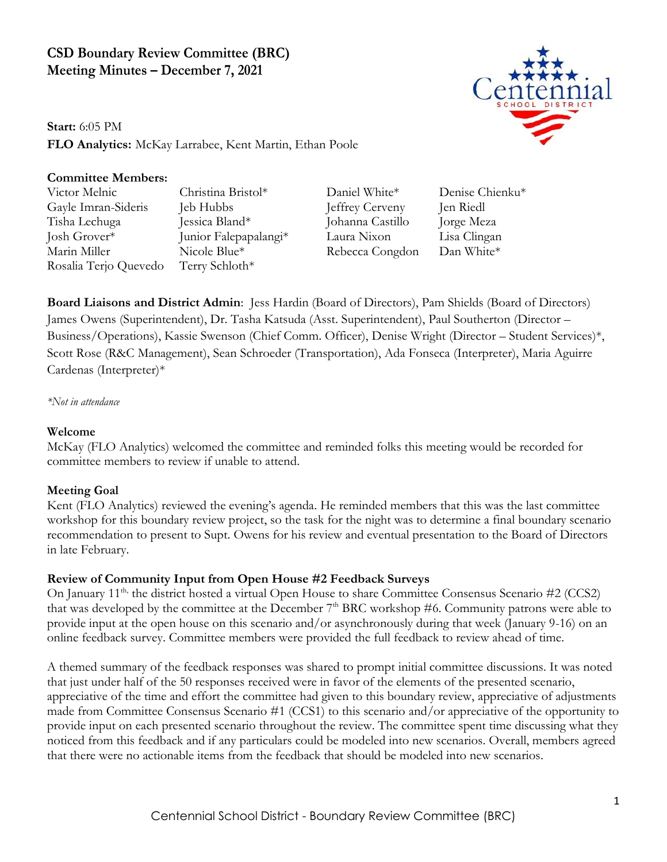# **CSD Boundary Review Committee (BRC) Meeting Minutes – December 7, 2021**

**Start:** 6:05 PM **FLO Analytics:** McKay Larrabee, Kent Martin, Ethan Poole

## **Committee Members:**

Victor Melnic Christina Bristol\* Daniel White\* Denise Chienku\* Gayle Imran-Sideris Jeb Hubbs Jeffrey Cerveny Jen Riedl Tisha Lechuga Jessica Bland\* Johanna Castillo Jorge Meza Josh Grover\* Junior Falepapalangi\* Laura Nixon Lisa Clingan Marin Miller Nicole Blue\* Rebecca Congdon Dan White\* Rosalia Terjo Quevedo Terry Schloth\*

**Board Liaisons and District Admin**: Jess Hardin (Board of Directors), Pam Shields (Board of Directors) James Owens (Superintendent), Dr. Tasha Katsuda (Asst. Superintendent), Paul Southerton (Director – Business/Operations), Kassie Swenson (Chief Comm. Officer), Denise Wright (Director – Student Services)\*, Scott Rose (R&C Management), Sean Schroeder (Transportation), Ada Fonseca (Interpreter), Maria Aguirre Cardenas (Interpreter)\*

*\*Not in attendance*

### **Welcome**

McKay (FLO Analytics) welcomed the committee and reminded folks this meeting would be recorded for committee members to review if unable to attend.

### **Meeting Goal**

Kent (FLO Analytics) reviewed the evening's agenda. He reminded members that this was the last committee workshop for this boundary review project, so the task for the night was to determine a final boundary scenario recommendation to present to Supt. Owens for his review and eventual presentation to the Board of Directors in late February.

### **Review of Community Input from Open House #2 Feedback Surveys**

On January 11<sup>th,</sup> the district hosted a virtual Open House to share Committee Consensus Scenario #2 (CCS2) that was developed by the committee at the December  $7<sup>th</sup>$  BRC workshop #6. Community patrons were able to provide input at the open house on this scenario and/or asynchronously during that week (January 9-16) on an online feedback survey. Committee members were provided the full feedback to review ahead of time.

A themed summary of the feedback responses was shared to prompt initial committee discussions. It was noted that just under half of the 50 responses received were in favor of the elements of the presented scenario, appreciative of the time and effort the committee had given to this boundary review, appreciative of adjustments made from Committee Consensus Scenario #1 (CCS1) to this scenario and/or appreciative of the opportunity to provide input on each presented scenario throughout the review. The committee spent time discussing what they noticed from this feedback and if any particulars could be modeled into new scenarios. Overall, members agreed that there were no actionable items from the feedback that should be modeled into new scenarios.